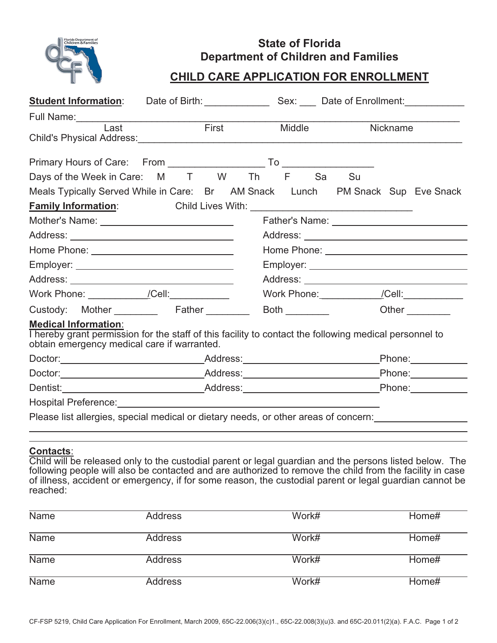

## **State of Florida Department of Children and Families**

## **CHILD CARE APPLICATION FOR ENROLLMENT**

| <b>Student Information:</b>                                                                                                                                                          |  |  |  |               |  |                 |  | Date of Birth: Sex: Date of Enrollment: |
|--------------------------------------------------------------------------------------------------------------------------------------------------------------------------------------|--|--|--|---------------|--|-----------------|--|-----------------------------------------|
|                                                                                                                                                                                      |  |  |  |               |  |                 |  |                                         |
| Last                                                                                                                                                                                 |  |  |  | First Middle  |  | <b>Nickname</b> |  |                                         |
|                                                                                                                                                                                      |  |  |  |               |  |                 |  |                                         |
| Days of the Week in Care: M T W Th F Sa Su                                                                                                                                           |  |  |  |               |  |                 |  |                                         |
| Meals Typically Served While in Care: Br AM Snack Lunch PM Snack Sup Eve Snack                                                                                                       |  |  |  |               |  |                 |  |                                         |
|                                                                                                                                                                                      |  |  |  |               |  |                 |  |                                         |
| Mother's Name: _______________________________                                                                                                                                       |  |  |  |               |  |                 |  |                                         |
|                                                                                                                                                                                      |  |  |  |               |  |                 |  |                                         |
| Home Phone: ________________________________                                                                                                                                         |  |  |  |               |  |                 |  |                                         |
|                                                                                                                                                                                      |  |  |  |               |  |                 |  |                                         |
|                                                                                                                                                                                      |  |  |  |               |  |                 |  |                                         |
| Work Phone: ______________/Cell:______________                                                                                                                                       |  |  |  |               |  |                 |  |                                         |
| Custody: Mother Father                                                                                                                                                               |  |  |  | Both $\qquad$ |  |                 |  | Other                                   |
| <b>Medical Information:</b><br>I hereby grant permission for the staff of this facility to contact the following medical personnel to<br>obtain emergency medical care if warranted. |  |  |  |               |  |                 |  |                                         |
|                                                                                                                                                                                      |  |  |  |               |  |                 |  | Phone: National Assembly                |
|                                                                                                                                                                                      |  |  |  |               |  |                 |  |                                         |
| Dentist: ___________________________________Address:_____________________________Phone:_____________                                                                                 |  |  |  |               |  |                 |  |                                         |
|                                                                                                                                                                                      |  |  |  |               |  |                 |  |                                         |
| Please list allergies, special medical or dietary needs, or other areas of concern:                                                                                                  |  |  |  |               |  |                 |  |                                         |

## **Contacts**:

Child will be released only to the custodial parent or legal guardian and the persons listed below. The following people will also be contacted and are authorized to remove the child from the facility in case of illness, accident or emergency, if for some reason, the custodial parent or legal guardian cannot be reached:

| Name        | Address | Work# | Home# |
|-------------|---------|-------|-------|
| <b>Name</b> | Address | Work# | Home# |
| <b>Name</b> | Address | Work# | Home# |
| <b>Name</b> | Address | Work# | Home# |